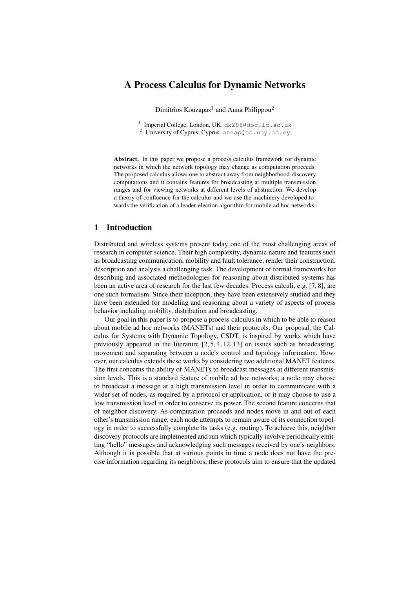# A Process Calculus for Dynamic Networks

Dimitrios Kouzapas<sup>1</sup> and Anna Philippou<sup>2</sup>

<sup>1</sup> Imperial College, London, UK. dk208@doc.ic.ac.uk

<sup>2</sup> University of Cyprus, Cyprus. annap@cs.ucy.ac.cy

Abstract. In this paper we propose a process calculus framework for dynamic networks in which the network topology may change as computation proceeds. The proposed calculus allows one to abstract away from neighborhood-discovery computations and it contains features for broadcasting at multiple transmission ranges and for viewing networks at different levels of abstraction. We develop a theory of confluence for the calculus and we use the machinery developed towards the verification of a leader-election algorithm for mobile ad hoc networks.

## 1 Introduction

Distributed and wireless systems present today one of the most challenging areas of research in computer science. Their high complexity, dynamic nature and features such as broadcasting communication, mobility and fault tolerance, render their construction, description and analysis a challenging task. The development of formal frameworks for describing and associated methodologies for reasoning about distributed systems has been an active area of research for the last few decades. Process calculi, e.g. [7, 8], are one such formalism. Since their inception, they have been extensively studied and they have been extended for modeling and reasoning about a variety of aspects of process behavior including mobility, distribution and broadcasting.

Our goal in this paper is to propose a process calculus in which to be able to reason about mobile ad hoc networks (MANETs) and their protocols. Our proposal, the Calculus for Systems with Dynamic Topology, CSDT, is inspired by works which have previously appeared in the literature [2, 5, 4, 12, 13] on issues such as broadcasting, movement and separating between a node's control and topology information. However, our calculus extends these works by considering two additional MANET features. The first concerns the ability of MANETs to broadcast messages at different transmission levels. This is a standard feature of mobile ad hoc networks; a node may choose to broadcast a message at a high transmission level in order to communicate with a wider set of nodes, as required by a protocol or application, or it may choose to use a low transmission level in order to conserve its power. The second feature concerns that of neighbor discovery. As computation proceeds and nodes move in and out of each other's transmission range, each node attempts to remain aware of its connection topology in order to successfully complete its tasks (e.g. routing). To achieve this, neighbor discovery protocols are implemented and run which typically involve periodically emitting "hello" messages and acknowledging such messages received by one's neighbors. Although it is possible that at various points in time a node does not have the precise information regarding its neighbors, these protocols aim to ensure that the updated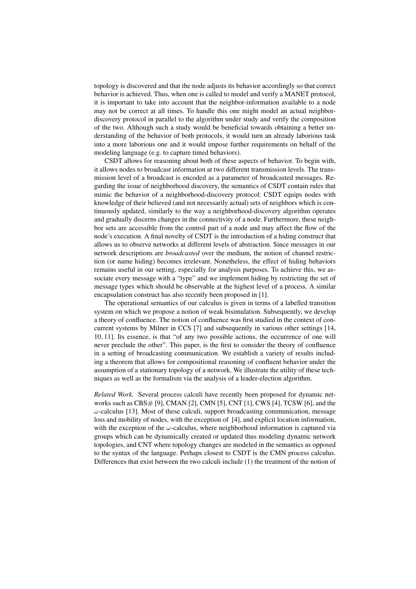topology is discovered and that the node adjusts its behavior accordingly so that correct behavior is achieved. Thus, when one is called to model and verify a MANET protocol, it is important to take into account that the neighbor-information available to a node may not be correct at all times. To handle this one might model an actual neighbordiscovery protocol in parallel to the algorithm under study and verify the composition of the two. Although such a study would be beneficial towards obtaining a better understanding of the behavior of both protocols, it would turn an already laborious task into a more laborious one and it would impose further requirements on behalf of the modeling language (e.g. to capture timed behaviors).

CSDT allows for reasoning about both of these aspects of behavior. To begin with, it allows nodes to broadcast information at two different transmission levels. The transmission level of a broadcast is encoded as a parameter of broadcasted messages. Regarding the issue of neighborhood discovery, the semantics of CSDT contain rules that mimic the behavior of a neighborhood-discovery protocol: CSDT equips nodes with knowledge of their believed (and not necessarily actual) sets of neighbors which is continuously updated, similarly to the way a neighborhood-discovery algorithm operates and gradually discerns changes in the connectivity of a node. Furthermore, these neighbor sets are accessible from the control part of a node and may affect the flow of the node's execution. A final novelty of CSDT is the introduction of a hiding construct that allows us to observe networks at different levels of abstraction. Since messages in our network descriptions are *broadcasted* over the medium, the notion of channel restriction (or name hiding) becomes irrelevant. Nonetheless, the effect of hiding behaviors remains useful in our setting, especially for analysis purposes. To achieve this, we associate every message with a "type" and we implement hiding by restricting the set of message types which should be observable at the highest level of a process. A similar encapsulation construct has also recently been proposed in [1].

The operational semantics of our calculus is given in terms of a labelled transition system on which we propose a notion of weak bisimulation. Subsequently, we develop a theory of confluence. The notion of confluence was first studied in the context of concurrent systems by Milner in CCS [7] and subsequently in various other settings [14, 10, 11]. Its essence, is that "of any two possible actions, the occurrence of one will never preclude the other". This paper, is the first to consider the theory of confluence in a setting of broadcasting communication. We establish a variety of results including a theorem that allows for compositional reasoning of confluent behavior under the assumption of a stationary topology of a network. We illustrate the utility of these techniques as well as the formalism via the analysis of a leader-election algorithm.

*Related Work.* Several process calculi have recently been proposed for dynamic networks such as CBS# [9], CMAN [2], CMN [5], CNT [1], CWS [4], TCSW [6], and the *ω*-calculus [13]. Most of these calculi, support broadcasting communication, message loss and mobility of nodes, with the exception of [4], and explicit location information, with the exception of the *ω*-calculus, where neighborhood information is captured via groups which can be dynamically created or updated thus modeling dynamic network topologies, and CNT where topology changes are modeled in the semantics as opposed to the syntax of the language. Perhaps closest to CSDT is the CMN process calculus. Differences that exist between the two calculi include (1) the treatment of the notion of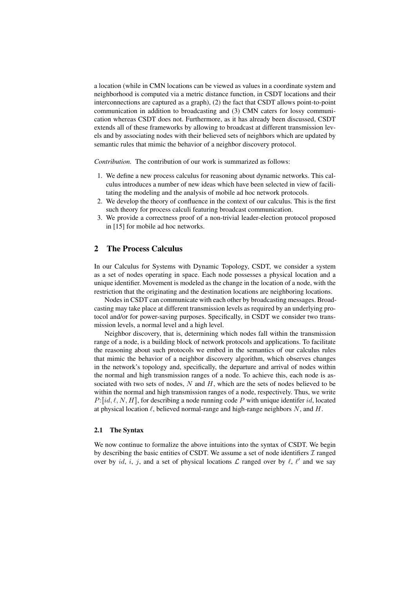a location (while in CMN locations can be viewed as values in a coordinate system and neighborhood is computed via a metric distance function, in CSDT locations and their interconnections are captured as a graph), (2) the fact that CSDT allows point-to-point communication in addition to broadcasting and (3) CMN caters for lossy communication whereas CSDT does not. Furthermore, as it has already been discussed, CSDT extends all of these frameworks by allowing to broadcast at different transmission levels and by associating nodes with their believed sets of neighbors which are updated by semantic rules that mimic the behavior of a neighbor discovery protocol.

*Contribution.* The contribution of our work is summarized as follows:

- 1. We define a new process calculus for reasoning about dynamic networks. This calculus introduces a number of new ideas which have been selected in view of facilitating the modeling and the analysis of mobile ad hoc network protocols.
- 2. We develop the theory of confluence in the context of our calculus. This is the first such theory for process calculi featuring broadcast communication.
- 3. We provide a correctness proof of a non-trivial leader-election protocol proposed in [15] for mobile ad hoc networks.

# 2 The Process Calculus

In our Calculus for Systems with Dynamic Topology, CSDT, we consider a system as a set of nodes operating in space. Each node possesses a physical location and a unique identifier. Movement is modeled as the change in the location of a node, with the restriction that the originating and the destination locations are neighboring locations.

Nodes in CSDT can communicate with each other by broadcasting messages. Broadcasting may take place at different transmission levels as required by an underlying protocol and/or for power-saving purposes. Specifically, in CSDT we consider two transmission levels, a normal level and a high level.

Neighbor discovery, that is, determining which nodes fall within the transmission range of a node, is a building block of network protocols and applications. To facilitate the reasoning about such protocols we embed in the semantics of our calculus rules that mimic the behavior of a neighbor discovery algorithm, which observes changes in the network's topology and, specifically, the departure and arrival of nodes within the normal and high transmission ranges of a node. To achieve this, each node is associated with two sets of nodes, *N* and *H*, which are the sets of nodes believed to be within the normal and high transmission ranges of a node, respectively. Thus, we write *P*:  $[i d, ℓ, N, H]$ , for describing a node running code *P* with unique identifer *id*, located at physical location *ℓ*, believed normal-range and high-range neighbors *N*, and *H*.

### 2.1 The Syntax

We now continue to formalize the above intuitions into the syntax of CSDT. We begin by describing the basic entities of CSDT. We assume a set of node identifiers *I* ranged over by *id*, *i*, *j*, and a set of physical locations  $\mathcal{L}$  ranged over by  $\ell$ ,  $\ell'$  and we say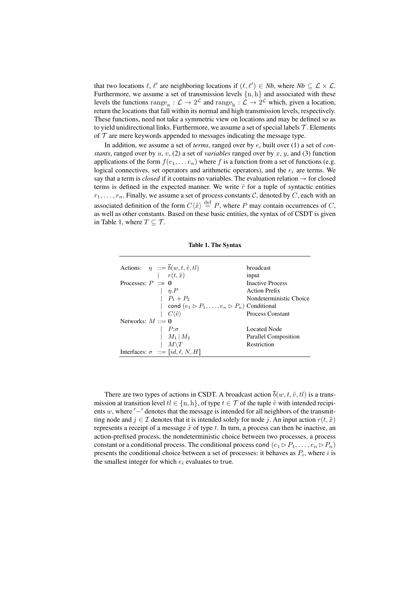that two locations  $\ell$ ,  $\ell'$  are neighboring locations if  $(\ell, \ell') \in Nb$ , where  $Nb \subseteq \mathcal{L} \times \mathcal{L}$ . Furthermore, we assume a set of transmission levels  $\{n, h\}$  and associated with these levels the functions  $\text{range}_{n} : \mathcal{L} \to 2^{\mathcal{L}}$  and  $\text{range}_{h} : \mathcal{L} \to 2^{\mathcal{L}}$  which, given a location, return the locations that fall within its normal and high transmission levels, respectively. These functions, need not take a symmetric view on locations and may be defined so as to yield unidirectional links. Furthermore, we assume a set of special labels *T* . Elements of  $T$  are mere keywords appended to messages indicating the message type.

In addition, we assume a set of *terms*, ranged over by *e*, built over (1) a set of *constants*, ranged over by *u*, *v*, (2) a set of *variables* ranged over by *x*, *y*, and (3) function applications of the form  $f(e_1, \ldots e_n)$  where  $f$  is a function from a set of functions (e.g. logical connectives, set operators and arithmetic operators), and the *e<sup>i</sup>* are terms. We say that a term is *closed* if it contains no variables. The evaluation relation  $\rightarrow$  for closed terms is defined in the expected manner. We write  $\tilde{r}$  for a tuple of syntactic entities  $r_1, \ldots, r_n$ . Finally, we assume a set of process constants  $\mathcal{C}$ , denoted by  $C$ , each with an associated definition of the form  $C\langle \tilde{x} \rangle \stackrel{\text{def}}{=} P$ , where *P* may contain occurrences of *C*, as well as other constants. Based on these basic entities, the syntax of of CSDT is given in Table 1, where  $T \subseteq T$ .

| <b>Table 1. The Syntax</b> |  |  |  |  |
|----------------------------|--|--|--|--|
|----------------------------|--|--|--|--|

| Actions: $\eta$ ::= $\overline{b}(w, t, \tilde{v}, tl)$                     | broadcast               |
|-----------------------------------------------------------------------------|-------------------------|
| $\vert r(t,\tilde{x})\vert$                                                 | input                   |
| Processes: $P ::= 0$                                                        | <b>Inactive Process</b> |
| n.P                                                                         | <b>Action Prefix</b>    |
| $P_1 + P_2$                                                                 | Nondeterministic Choice |
| cond $(e_1 \triangleright P_1, \ldots, e_n \triangleright P_n)$ Conditional |                         |
| $C\langle \tilde{v} \rangle$                                                | <b>Process Constant</b> |
| Networks: $M ::= 0$                                                         |                         |
| $P:\sigma$                                                                  | Located Node            |
| $M_1 M_2$                                                                   | Parallel Composition    |
| $M \backslash T$                                                            | Restriction             |
| Interfaces: $\sigma$ ::= $\lbrack \lbrack id, \ell, N, H \rbrack$           |                         |

There are two types of actions in CSDT. A broadcast action  $\overline{b}(w, t, \tilde{v}, t)$  is a transmission at transition level  $tl \in \{n, h\}$ , of type  $t \in \mathcal{T}$  of the tuple  $\tilde{v}$  with intended recipients *w*, where *′−′* denotes that the message is intended for all neighbors of the transmitting node and  $j \in \mathcal{I}$  denotes that it is intended solely for node *j*. An input action  $r(t, \tilde{x})$ represents a receipt of a message  $\tilde{x}$  of type  $t$ . In turn, a process can then be inactive, an action-prefixed process, the nondeterministic choice between two processes, a process constant or a conditional process. The conditional process cond  $(e_1 \triangleright P_1, \ldots, e_n \triangleright P_n)$ presents the conditional choice between a set of processes: it behaves as *P<sup>i</sup>* , where *i* is the smallest integer for which  $e_i$  evaluates to true.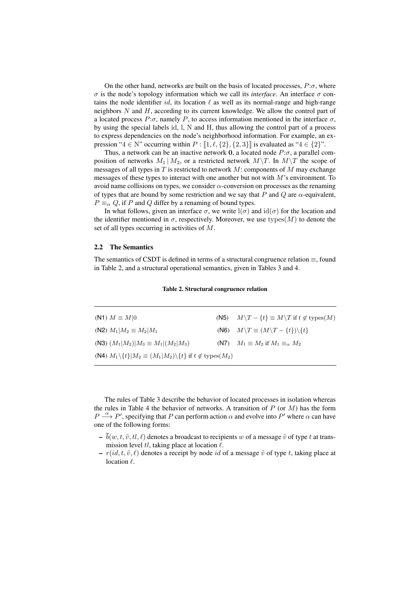On the other hand, networks are built on the basis of located processes,  $P:\sigma$ , where  $\sigma$  is the node's topology information which we call its *interface*. An interface  $\sigma$  contains the node identifier  $id$ , its location  $\ell$  as well as its normal-range and high-range neighbors *N* and *H*, according to its current knowledge. We allow the control part of a located process  $P:\sigma$ , namely  $P$ , to access information mentioned in the interface  $\sigma$ , by using the special labels id, l, N and H, thus allowing the control part of a process to express dependencies on the node's neighborhood information. For example, an expression " $4 \in \mathbb{N}$ " occurring within  $P : [1, \ell, \{2\}, \{2, 3\}]$  is evaluated as " $4 \in \{2\}$ ".

Thus, a network can be an inactive network **0**, a located node  $P:\sigma$ , a parallel composition of networks  $M_1 | M_2$ , or a restricted network  $M \setminus T$ . In  $M \setminus T$  the scope of messages of all types in *T* is restricted to network *M*: components of *M* may exchange messages of these types to interact with one another but not with *M*'s environment. To avoid name collisions on types, we consider  $\alpha$ -conversion on processes as the renaming of types that are bound by some restriction and we say that *P* and *Q* are *α*-equivalent,  $P \equiv_{\alpha} Q$ , if *P* and *Q* differ by a renaming of bound types.

In what follows, given an interface  $\sigma$ , we write  $\mathcal{I}(\sigma)$  and  $\mathrm{id}(\sigma)$  for the location and the identifier mentioned in  $\sigma$ , respectively. Moreover, we use types(*M*) to denote the set of all types occurring in activities of *M*.

#### 2.2 The Semantics

The semantics of CSDT is defined in terms of a structural congruence relation *≡*, found in Table 2, and a structural operational semantics, given in Tables 3 and 4.

#### Table 2. Structural congruence relation

| (N1) $M \equiv M 0$                                                                                 |  | (N5) $M \setminus T - \{t\} \equiv M \setminus T$ if $t \notin \text{types}(M)$ |  |
|-----------------------------------------------------------------------------------------------------|--|---------------------------------------------------------------------------------|--|
| $(N2) M_1 M_2 \equiv M_2 M_1 $                                                                      |  | (N6) $M \setminus T \equiv (M \setminus T - \{t\}) \setminus \{t\}$             |  |
| $(M3)$ $(M_1 M_2) M_3 \equiv M_1 (M_2 M_3)$                                                         |  | $(N7)$ $M_1 \equiv M_2$ if $M_1 \equiv_{\alpha} M_2$                            |  |
| (N4) $M_1 \setminus \{t\}   M_2 \equiv (M_1   M_2) \setminus \{t\}$ if $t \notin \text{types}(M_2)$ |  |                                                                                 |  |

The rules of Table 3 describe the behavior of located processes in isolation whereas the rules in Table 4 the behavior of networks. A transition of *P* (or *M*) has the form  $P \stackrel{\alpha}{\longrightarrow} P'$ , specifying that *P* can perform action  $\alpha$  and evolve into  $P'$  where  $\alpha$  can have one of the following forms:

- $-\bar{b}(w, t, \tilde{v}, tl, \ell)$  denotes a broadcast to recipients *w* of a message  $\tilde{v}$  of type *t* at transmission level *tl*, taking place at location *ℓ*.
- $r(id, t, \tilde{v}, \ell)$  denotes a receipt by node *id* of a message  $\tilde{v}$  of type *t*, taking place at location *ℓ*.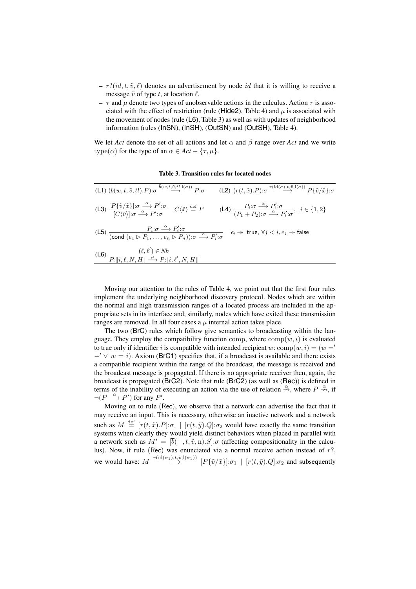- $r$ ?(*id, t,*  $\tilde{v}, \ell$ ) denotes an advertisement by node *id* that it is willing to receive a message  $\tilde{v}$  of type t, at location  $\ell$ .
- *τ* and *µ* denote two types of unobservable actions in the calculus. Action *τ* is associated with the effect of restriction (rule (Hide2), Table 4) and  $\mu$  is associated with the movement of nodes (rule  $(L6)$ , Table 3) as well as with updates of neighborhood information (rules (InSN), (InSH), (OutSN) and (OutSH), Table 4).

We let *Act* denote the set of all actions and let  $\alpha$  and  $\beta$  range over *Act* and we write  $type(\alpha)$  for the type of an  $\alpha \in Act - \{\tau, \mu\}.$ 

Table 3. Transition rules for located nodes

|                                                                                                                                                                                                                                                                                   | (L1) $(\bar{b}(w,t,\tilde{v},tl).P)$ : $\sigma \stackrel{\bar{b}(w,t,\tilde{v},tl,l(\sigma))}{\longrightarrow} P$ : $\sigma$ (L2) $(r(t,\tilde{x}).P)$ : $\sigma \stackrel{r(\mathrm{id}(\sigma),t,\tilde{v},l(\sigma))}{\longrightarrow} P\{\tilde{v}/\tilde{x}\}$ : $\sigma$                                                                                                                                      |
|-----------------------------------------------------------------------------------------------------------------------------------------------------------------------------------------------------------------------------------------------------------------------------------|---------------------------------------------------------------------------------------------------------------------------------------------------------------------------------------------------------------------------------------------------------------------------------------------------------------------------------------------------------------------------------------------------------------------|
|                                                                                                                                                                                                                                                                                   | ( <b>L3</b> ) $\frac{[P\{\tilde{v}/\tilde{x}\}]\colon \sigma \stackrel{\alpha}{\longrightarrow} P':\sigma}{[C(\tilde{v})]\colon \sigma \stackrel{\alpha}{\longrightarrow} P':\sigma}$ $C\langle \tilde{x} \rangle \stackrel{\text{def}}{=} P$ ( <b>L4</b> ) $\frac{P_i:\sigma \stackrel{\alpha}{\longrightarrow} P'_i:\sigma}{(P_1 + P_2):\sigma \stackrel{\alpha}{\longrightarrow} P'_i:\sigma}$ , $i \in \{1,2\}$ |
| (L5) $\frac{P_i:\sigma \stackrel{\alpha}{\longrightarrow} P'_i:\sigma}{(\text{cond } (e_1 \rhd P_1, \ldots, e_n \rhd P_n)):\sigma \stackrel{\alpha}{\longrightarrow} P'_i:\sigma} \quad e_i \twoheadrightarrow \text{ true}, \forall j < i, e_j \twoheadrightarrow \text{ false}$ |                                                                                                                                                                                                                                                                                                                                                                                                                     |
| (L6) $\frac{(\ell, \ell') \in Nb}{P:\llbracket i, \ell, N, H \rrbracket \xrightarrow{\mu} P:\llbracket i, \ell', N, H \rrbracket}$                                                                                                                                                |                                                                                                                                                                                                                                                                                                                                                                                                                     |

Moving our attention to the rules of Table 4, we point out that the first four rules implement the underlying neighborhood discovery protocol. Nodes which are within the normal and high transmission ranges of a located process are included in the appropriate sets in its interface and, similarly, nodes which have exited these transmission ranges are removed. In all four cases a  $\mu$  internal action takes place.

The two (BrC) rules which follow give semantics to broadcasting within the language. They employ the compatibility function comp, where  $\text{comp}(w, i)$  is evaluated to true only if identifier *i* is compatible with intended recipient *w*: comp $(w, i) = (w - j)$ *−′*  $\vee$  *w* = *i*). Axiom (BrC1) specifies that, if a broadcast is available and there exists a compatible recipient within the range of the broadcast, the message is received and the broadcast message is propagated. If there is no appropriate receiver then, again, the broadcast is propagated (BrC2). Note that rule (BrC2) (as well as (Rec)) is defined in terms of the inability of executing an action via the use of relation  $\stackrel{\alpha}{\rightarrow}$ , where  $P \stackrel{\alpha}{\rightarrow}$ , if  $\neg (P \stackrel{\alpha}{\longrightarrow} P')$  for any *P'*.

Moving on to rule (Rec), we observe that a network can advertise the fact that it may receive an input. This is necessary, otherwise an inactive network and a network such as  $M \stackrel{\text{def}}{=} [r(t,\tilde{x}).P]: \sigma_1 \mid [r(t,\tilde{y}).Q]: \sigma_2$  would have exactly the same transition systems when clearly they would yield distinct behaviors when placed in parallel with a network such as  $M' = [\overline{b}(-, t, \tilde{v}, n) . S] : \sigma$  (affecting compositionality in the calculus). Now, if rule (Rec) was enunciated via a normal receive action instead of *r*?, we would have:  $M \xrightarrow{r(\mathrm{id}(\sigma_1), t, \tilde{v}, \mathrm{l}(\sigma_1))} [P\{\tilde{v}/\tilde{x}\}]$ : $\sigma_1 | [r(t, \tilde{y}).Q]$ : $\sigma_2$  and subsequently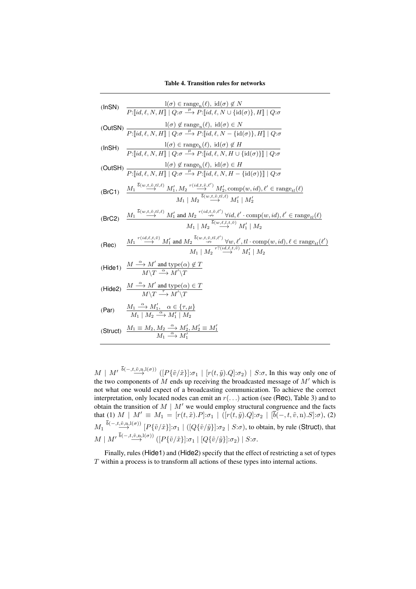$$
(lnSN) \frac{1(\sigma) \in \text{range}_{n}(\ell), id(\sigma) \notin N}{P:[id, \ell, N, H] | Q: \sigma \xrightarrow{\mu} P:[id, \ell, N \cup \{id(\sigma)\}, H] | Q: \sigma}
$$
\n
$$
(OutSN) \frac{1(\sigma) \notin \text{range}_{n}(\ell), id(\sigma) \in N}{P:[id, \ell, N, H] | Q: \sigma \xrightarrow{\mu} P:[id, \ell, N - \{id(\sigma)\}, H] | Q: \sigma}
$$
\n
$$
(lnSH) \frac{1(\sigma) \in \text{range}_{n}(\ell), id(\sigma) \notin H}{P:[id, \ell, N, H] | Q: \sigma \xrightarrow{\mu} P:[id, \ell, N, H \cup \{id(\sigma)\}] | Q: \sigma}
$$
\n
$$
(OutSH) \frac{1(\sigma) \notin \text{range}_{n}(\ell), id(\sigma) \notin H}{P:[id, \ell, N, H] | Q: \sigma \xrightarrow{\mu} P:[id, \ell, N, H - \{id(\sigma)\}] | Q: \sigma}
$$
\n
$$
(BIC1) \frac{M_1 \xrightarrow{\overline{b}(w, t, \vec{o}, t^{1, \ell})} M_1', M_2 \xrightarrow{r(id, t, \vec{o}, t^{2})} M_2', \text{comp}(w, id), \ell' \in \text{range}_{t}(\ell)}{M_1 | M_2 \xrightarrow{\overline{b}(w, t, \vec{o}, t^{1, \ell})} M_1' | M_2'}
$$
\n
$$
(BIC2) \frac{M_1 \xrightarrow{\overline{b}(w, t, \vec{o}, t^{1, \ell})} M_1' \text{ and } M_2 \xrightarrow{r(id, t, \vec{o}, t^{2})} \forall id, \ell' \cdot \text{comp}(w, id), \ell' \in \text{range}_{t}(\ell)}{M_1 | M_2 \xrightarrow{\overline{b}(w, t, \vec{o}, t^{1, \ell})} M_1' | M_2}
$$
\n
$$
(Rec) \frac{M_1 \xrightarrow{r(id, \ell, t, \vec{o})} M_1' \text{ and } M_2 \xrightarrow{\overline{b}(w, t, \vec{o}, t^{1, \ell})} \forall w, \ell', t \cdot \text{comp}(w, id), \ell \in \text{range}_{t}(\ell)}{M_1 | M_2 \xrightarrow{r*(d, \ell, \vec{o})} M_1' | M_2}
$$

 $M \mid M' \stackrel{b(-,t,\tilde{v},n,l(\sigma))}{\longrightarrow} ([P\{\tilde{v}/\tilde{x}\}]\cdot \sigma_1 \mid [r(t,\tilde{y}).Q]\cdot \sigma_2) \mid S:\sigma$ , In this way only one of the two components of *M* ends up receiving the broadcasted message of *M′* which is not what one would expect of a broadcasting communication. To achieve the correct interpretation, only located nodes can emit an *r*(*. . .*) action (see (Rec), Table 3) and to obtain the transition of  $M \mid M'$  we would employ structural congruence and the facts that (1)  $M \mid M' \equiv M_1 = [r(t, \tilde{x}).P] : \sigma_1 \mid ([r(t, \tilde{y}).Q] : \sigma_2 \mid [\bar{b}(-, t, \tilde{v}, n).S] : \sigma),$  (2)  $M_1 \stackrel{b(-,t,\tilde{v},n,l(\sigma))}{\longrightarrow} [P\{\tilde{v}/\tilde{x}\}]\cdot \sigma_1 \mid ([Q\{\tilde{v}/\tilde{y}\}]\cdot \sigma_2 \mid S:\sigma)$ , to obtain, by rule (Struct), that  $M \mid {M'} \stackrel{b(-,t,\tilde{v},\mathrm{n},\mathrm{l}(\sigma))}{\longrightarrow} ([P\{\tilde{v}/\tilde{x}\}]\mathpunct{:}\sigma_1 \mid [Q\{\tilde{v}/\tilde{y}\}]\mathpunct{:}\sigma_2) \mid S\mathpunct{:}\sigma.$ 

Finally, rules (Hide1) and (Hide2) specify that the effect of restricting a set of types *T* within a process is to transform all actions of these types into internal actions.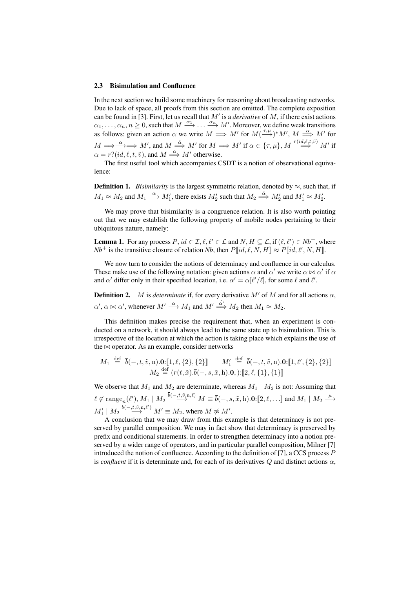#### 2.3 Bisimulation and Confluence

In the next section we build some machinery for reasoning about broadcasting networks. Due to lack of space, all proofs from this section are omitted. The complete exposition can be found in [3]. First, let us recall that *M′* is a *derivative* of *M*, if there exist actions  $\alpha_1, \ldots, \alpha_n, n \geq 0$ , such that  $M \stackrel{\alpha_1}{\longrightarrow} \ldots \stackrel{\alpha_n}{\longrightarrow} M'$ . Moreover, we define weak transitions as follows: given an action  $\alpha$  we write  $M \implies M'$  for  $M(\frac{\tau,\mu}{\tau})^*M'$ ,  $M \implies M'$  for  $M \Longrightarrow \stackrel{\alpha}{\Longrightarrow} \Longrightarrow M',$  and  $M \stackrel{\hat{\alpha}}{\Longrightarrow} M'$  for  $M \Longrightarrow M'$  if  $\alpha \in \{\tau, \mu\}, M \stackrel{r(id, \ell, t, \tilde{v})}{\Longrightarrow} M'$  if  $\alpha = r$ ?(*id, ℓ, t,*  $\tilde{v}$ ), and  $M \stackrel{\alpha}{\Longrightarrow} M'$  otherwise.

The first useful tool which accompanies CSDT is a notion of observational equivalence:

**Definition 1.** *Bisimilarity* is the largest symmetric relation, denoted by  $\approx$ , such that, if  $M_1 \approx M_2$  and  $M_1 \stackrel{\alpha}{\longrightarrow} M'_1$ , there exists  $M'_2$  such that  $M_2 \stackrel{\hat{\alpha}}{\Longrightarrow} M'_2$  and  $M'_1 \approx M'_2$ .

We may prove that bisimilarity is a congruence relation. It is also worth pointing out that we may establish the following property of mobile nodes pertaining to their ubiquitous nature, namely:

**Lemma 1.** For any process  $P$ ,  $id \in \mathcal{I}$ ,  $\ell, \ell' \in \mathcal{L}$  and  $N, H \subseteq \mathcal{L}$ , if  $(\ell, \ell') \in Nb^+$ , where *Nb*<sup>+</sup> is the transitive closure of relation *Nb*, then  $P[$ *id*,  $\ell$ , *N*,  $H$ ]  $\approx$   $P[$ *id*,  $\ell'$ , *N*,  $H$ ].

We now turn to consider the notions of determinacy and confluence in our calculus. These make use of the following notation: given actions  $\alpha$  and  $\alpha'$  we write  $\alpha \bowtie \alpha'$  if  $\alpha$ and  $\alpha'$  differ only in their specified location, i.e.  $\alpha' = \alpha[\ell'/\ell]$ , for some  $\ell$  and  $\ell'$ .

**Definition 2.** *M* is *determinate* if, for every derivative  $M'$  of  $M$  and for all actions  $\alpha$ ,  $\alpha'$ ,  $\alpha \bowtie \alpha'$ , whenever  $M' \stackrel{\alpha}{\longrightarrow} M_1$  and  $M' \stackrel{\hat{\alpha'}}{\Longrightarrow} M_2$  then  $M_1 \approx M_2$ .

This definition makes precise the requirement that, when an experiment is conducted on a network, it should always lead to the same state up to bisimulation. This is irrespective of the location at which the action is taking place which explains the use of the  $\bowtie$  operator. As an example, consider networks

$$
M_1 \stackrel{\text{def}}{=} \overline{b}(-,t,\tilde{v},n).\mathbf{0}:\llbracket 1,\ell,\{2\},\{2\}\rrbracket \qquad M'_1 \stackrel{\text{def}}{=} \overline{b}(-,t,\tilde{v},n).\mathbf{0}:\llbracket 1,\ell',\{2\},\{2\}\rrbracket
$$

$$
M_2 \stackrel{\text{def}}{=} (r(t,\tilde{x}).\overline{b}(-,s,\tilde{x},h).\mathbf{0},): \llbracket 2,\ell,\{1\},\{1\}\rrbracket
$$

We observe that  $M_1$  and  $M_2$  are determinate, whereas  $M_1 \mid M_2$  is not: Assuming that  $\ell \not\in \mathrm{range}_n(\ell'), M_1 \mid M_2 \stackrel{b(-,t,\tilde{v},\mathrm{n},\ell)}{\longrightarrow} M \equiv \overline{b}(-,s,\tilde{x},\mathrm{h}) . \mathbf{0} : \llbracket 2, \ell, \ldots \rrbracket$  and  $M_1 \mid M_2 \stackrel{\mu}{\longrightarrow}$  $M'_1 \mid M_2 \stackrel{b(-,t,\tilde{v},\text{n},\ell')}{\longrightarrow} M' \equiv M_2$ , where  $M \not\approx M'$ .

A conclusion that we may draw from this example is that determinacy is not preserved by parallel composition. We may in fact show that determinacy is preserved by prefix and conditional statements. In order to strengthen determinacy into a notion preserved by a wider range of operators, and in particular parallel composition, Milner [7] introduced the notion of confluence. According to the definition of [7], a CCS process *P* is *confluent* if it is determinate and, for each of its derivatives  $Q$  and distinct actions  $\alpha$ ,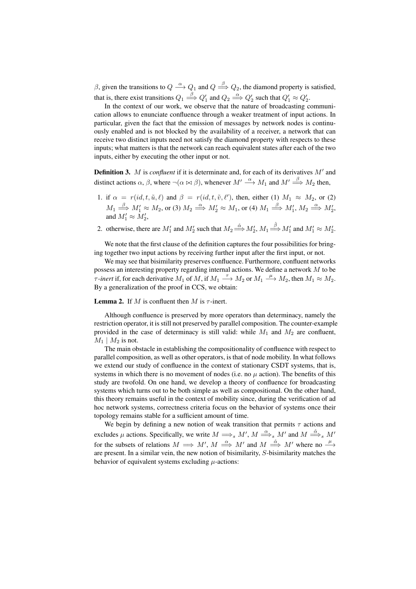*β*, given the transitions to  $Q \stackrel{\alpha}{\longrightarrow} Q_1$  and  $Q \stackrel{\beta}{\Longrightarrow} Q_2$ , the diamond property is satisfied, that is, there exist transitions  $Q_1 \stackrel{\beta}{\Longrightarrow} Q'_1$  and  $Q_2 \stackrel{\alpha}{\Longrightarrow} Q'_2$  such that  $Q'_1 \approx Q'_2$ .

In the context of our work, we observe that the nature of broadcasting communication allows to enunciate confluence through a weaker treatment of input actions. In particular, given the fact that the emission of messages by network nodes is continuously enabled and is not blocked by the availability of a receiver, a network that can receive two distinct inputs need not satisfy the diamond property with respects to these inputs; what matters is that the network can reach equivalent states after each of the two inputs, either by executing the other input or not.

Definition 3. *M* is *confluent* if it is determinate and, for each of its derivatives *M′* and distinct actions  $\alpha$ ,  $\beta$ , where  $\neg(\alpha \bowtie \beta)$ , whenever  $M' \stackrel{\alpha}{\longrightarrow} M_1$  and  $M' \stackrel{\beta}{\Longrightarrow} M_2$  then,

1. if  $\alpha = r(id, t, \tilde{u}, \ell)$  and  $\beta = r(id, t, \tilde{v}, \ell')$ , then, either (1)  $M_1 \approx M_2$ , or (2)  $M_1 \stackrel{\beta}{\Longrightarrow} M_1' \approx M_2$ , or (3)  $M_2 \stackrel{\alpha}{\Longrightarrow} M_2' \approx M_1$ , or (4)  $M_1 \stackrel{\beta}{\Longrightarrow} M_1', M_2 \stackrel{\alpha}{\Longrightarrow} M_2',$ and  $M'_1 \approx M'_2$ ,

2. otherwise, there are  $M'_1$  and  $M'_2$  such that  $M_2 \stackrel{\hat{\alpha}}{\Longrightarrow} M'_2$ ,  $M_1 \stackrel{\hat{\beta}}{\Longrightarrow} M'_1$  and  $M'_1 \approx M'_2$ .

We note that the first clause of the definition captures the four possibilities for bringing together two input actions by receiving further input after the first input, or not.

We may see that bisimilarity preserves confluence. Furthermore, confluent networks possess an interesting property regarding internal actions. We define a network *M* to be *τ -inert* if, for each derivative  $M_1$  of  $M$ , if  $M_1 \stackrel{\tau}{\longrightarrow} M_2$  or  $M_1 \stackrel{\mu}{\longrightarrow} M_2$ , then  $M_1 \approx M_2$ . By a generalization of the proof in CCS, we obtain:

### **Lemma 2.** If *M* is confluent then *M* is  $\tau$ -inert.

Although confluence is preserved by more operators than determinacy, namely the restriction operator, it is still not preserved by parallel composition. The counter-example provided in the case of determinacy is still valid: while *M*<sup>1</sup> and *M*<sup>2</sup> are confluent,  $M_1 \mid M_2$  is not.

The main obstacle in establishing the compositionality of confluence with respect to parallel composition, as well as other operators, is that of node mobility. In what follows we extend our study of confluence in the context of stationary CSDT systems, that is, systems in which there is no movement of nodes (i.e. no  $\mu$  action). The benefits of this study are twofold. On one hand, we develop a theory of confluence for broadcasting systems which turns out to be both simple as well as compositional. On the other hand, this theory remains useful in the context of mobility since, during the verification of ad hoc network systems, correctness criteria focus on the behavior of systems once their topology remains stable for a sufficient amount of time.

We begin by defining a new notion of weak transition that permits  $\tau$  actions and excludes  $\mu$  actions. Specifically, we write  $M \Longrightarrow_s M', M \Longrightarrow_s M'$  and  $M \Longrightarrow_s M'$ for the subsets of relations  $M \implies M'$ ,  $M \stackrel{\alpha}{\implies} M'$  and  $M \stackrel{\hat{\alpha}}{\implies} M'$  where no  $\stackrel{\mu}{\longrightarrow}$ are present. In a similar vein, the new notion of bisimilarity, *S*-bisimilarity matches the behavior of equivalent systems excluding  $\mu$ -actions: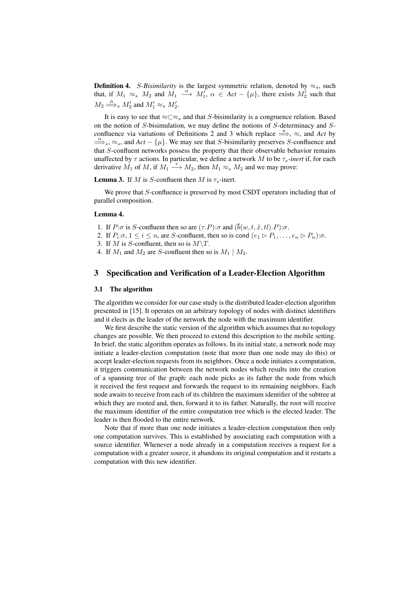**Definition 4.** *S*-Bisimilarity is the largest symmetric relation, denoted by  $\approx_s$ , such that, if  $M_1 \approx_s M_2$  and  $M_1 \stackrel{\alpha}{\longrightarrow} M_1'$ ,  $\alpha \in Act - {\mu}$ , there exists  $M_2'$  such that  $M_2 \stackrel{\hat{\alpha}}{\Longrightarrow}_s M'_2$  and  $M'_1 \approx_s M'_2$ .

It is easy to see that *≈⊂≈<sup>s</sup>* and that *S*-bisimilarity is a congruence relation. Based on the notion of *S*-bisimulation, we may define the notions of *S*-determinacy and *S*confluence via variations of Definitions 2 and 3 which replace  $\Rightarrow$ ,  $\approx$ , and *Act* by *<sup>α</sup>*=*⇒s*, *≈s*, and *Act − {µ}*. We may see that *S*-bisimilarity preserves *S*-confluence and that *S*-confluent networks possess the property that their observable behavior remains unaffected by  $\tau$  actions. In particular, we define a network *M* to be  $\tau_s$ *-inert* if, for each derivative  $\overline{M_1}$  of  $\overline{M_1}$ , if  $M_1 \stackrel{\tau}{\longrightarrow} M_2$ , then  $M_1 \approx_s M_2$  and we may prove:

**Lemma 3.** If *M* is *S*-confluent then *M* is  $\tau_s$ -inert.

We prove that *S*-confluence is preserved by most CSDT operators including that of parallel composition.

#### Lemma 4.

- 1. If  $P:\sigma$  is  $S$ -confluent then so are  $(\tau.P):\sigma$  and  $(\bar{b}(w, t, \tilde{x}, tl).P):\sigma$ .
- 2. If  $P_i: \sigma, 1 \leq i \leq n$ , are *S*-confluent, then so is cond  $(e_1 \triangleright P_1, \ldots, e_n \triangleright P_n): \sigma$ .
- 3. If *M* is *S*-confluent, then so is  $M \setminus T$ .
- 4. If  $M_1$  and  $M_2$  are *S*-confluent then so is  $M_1 \mid M_2$ .

# 3 Specification and Verification of a Leader-Election Algorithm

## 3.1 The algorithm

The algorithm we consider for our case study is the distributed leader-election algorithm presented in [15]. It operates on an arbitrary topology of nodes with distinct identifiers and it elects as the leader of the network the node with the maximum identifier.

We first describe the static version of the algorithm which assumes that no topology changes are possible. We then proceed to extend this description to the mobile setting. In brief, the static algorithm operates as follows. In its initial state, a network node may initiate a leader-election computation (note that more than one node may do this) or accept leader-election requests from its neighbors. Once a node initiates a computation, it triggers communication between the network nodes which results into the creation of a spanning tree of the graph: each node picks as its father the node from which it received the first request and forwards the request to its remaining neighbors. Each node awaits to receive from each of its children the maximum identifier of the subtree at which they are rooted and, then, forward it to its father. Naturally, the root will receive the maximum identifier of the entire computation tree which is the elected leader. The leader is then flooded to the entire network.

Note that if more than one node initiates a leader-election computation then only one computation survives. This is established by associating each computation with a source identifier. Whenever a node already in a computation receives a request for a computation with a greater source, it abandons its original computation and it restarts a computation with this new identifier.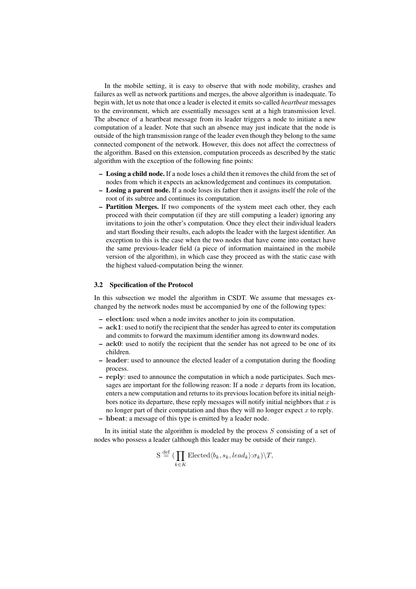In the mobile setting, it is easy to observe that with node mobility, crashes and failures as well as network partitions and merges, the above algorithm is inadequate. To begin with, let us note that once a leader is elected it emits so-called *heartbeat* messages to the environment, which are essentially messages sent at a high transmission level. The absence of a heartbeat message from its leader triggers a node to initiate a new computation of a leader. Note that such an absence may just indicate that the node is outside of the high transmission range of the leader even though they belong to the same connected component of the network. However, this does not affect the correctness of the algorithm. Based on this extension, computation proceeds as described by the static algorithm with the exception of the following fine points:

- Losing a child node. If a node loses a child then it removes the child from the set of nodes from which it expects an acknowledgement and continues its computation.
- **Losing a parent node.** If a node loses its father then it assigns itself the role of the root of its subtree and continues its computation.
- Partition Merges. If two components of the system meet each other, they each proceed with their computation (if they are still computing a leader) ignoring any invitations to join the other's computation. Once they elect their individual leaders and start flooding their results, each adopts the leader with the largest identifier. An exception to this is the case when the two nodes that have come into contact have the same previous-leader field (a piece of information maintained in the mobile version of the algorithm), in which case they proceed as with the static case with the highest valued-computation being the winner.

#### 3.2 Specification of the Protocol

In this subsection we model the algorithm in CSDT. We assume that messages exchanged by the network nodes must be accompanied by one of the following types:

- **election**: used when a node invites another to join its computation.
- **ack1**: used to notify the recipient that the sender has agreed to enter its computation and commits to forward the maximum identifier among its downward nodes.
- **ack0**: used to notify the recipient that the sender has not agreed to be one of its children.
- **leader**: used to announce the elected leader of a computation during the flooding process.
- **reply**: used to announce the computation in which a node participates. Such messages are important for the following reason: If a node *x* departs from its location, enters a new computation and returns to its previous location before its initial neighbors notice its departure, these reply messages will notify initial neighbors that *x* is no longer part of their computation and thus they will no longer expect *x* to reply.
- **hbeat**: a message of this type is emitted by a leader node.

In its initial state the algorithm is modeled by the process *S* consisting of a set of nodes who possess a leader (although this leader may be outside of their range).

$$
S \stackrel{\text{def}}{=} \left( \prod_{k \in K} \text{Elected}\langle b_k, s_k, lead_k \rangle : \sigma_k \right) \setminus T,
$$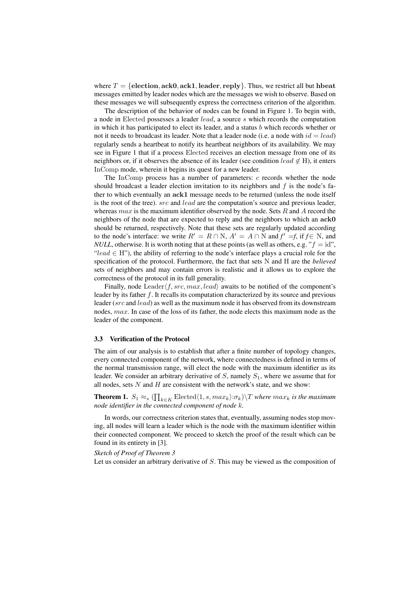where  $T = \{$ **election**,  $\text{ack}0$ ,  $\text{ack}1$ ,  $\text{leader}, \text{reply}\}$ . Thus, we restrict all but hbeat messages emitted by leader nodes which are the messages we wish to observe. Based on these messages we will subsequently express the correctness criterion of the algorithm.

The description of the behavior of nodes can be found in Figure 1. To begin with, a node in Elected possesses a leader *lead*, a source *s* which records the computation in which it has participated to elect its leader, and a status *b* which records whether or not it needs to broadcast its leader. Note that a leader node (i.e. a node with  $id = lead$ ) regularly sends a heartbeat to notify its heartbeat neighbors of its availability. We may see in Figure 1 that if a process Elected receives an election message from one of its neighbors or, if it observes the absence of its leader (see condition *lead*  $\notin$  H), it enters InComp mode, wherein it begins its quest for a new leader.

The InComp process has a number of parameters: *c* records whether the node should broadcast a leader election invitation to its neighbors and *f* is the node's father to which eventually an **ack1** message needs to be returned (unless the node itself is the root of the tree). *src* and *lead* are the computation's source and previous leader, whereas *max* is the maximum identifier observed by the node. Sets *R* and *A* record the neighbors of the node that are expected to reply and the neighbors to which an **ack0** should be returned, respectively. Note that these sets are regularly updated according to the node's interface: we write  $R' = R \cap N$ ,  $A' = A \cap N$  and  $f' = f$ , if  $f \in N$ , and *NULL*, otherwise. It is worth noting that at these points (as well as others, e.g. " $f = id$ ", "*lead*  $\in$  H"), the ability of referring to the node's interface plays a crucial role for the specification of the protocol. Furthermore, the fact that sets N and H are the *believed* sets of neighbors and may contain errors is realistic and it allows us to explore the correctness of the protocol in its full generality.

Finally, node Leader $\langle f, src, max, lead \rangle$  awaits to be notified of the component's leader by its father *f*. It recalls its computation characterized by its source and previous leader (*src* and *lead*) as well as the maximum node it has observed from its downstream nodes, *max*. In case of the loss of its father, the node elects this maximum node as the leader of the component.

#### 3.3 Verification of the Protocol

The aim of our analysis is to establish that after a finite number of topology changes, every connected component of the network, where connectedness is defined in terms of the normal transmission range, will elect the node with the maximum identifier as its leader. We consider an arbitrary derivative of *S*, namely *S*1, where we assume that for all nodes, sets *N* and *H* are consistent with the network's state, and we show:

**Theorem 1.**  $S_1 \approx_s (\prod_{k \in K} \text{Elected}\langle 1, s, max_k \rangle : \sigma_k) \setminus T$  where  $max_k$  is the maximum *node identifier in the connected component of node k.*

In words, our correctness criterion states that, eventually, assuming nodes stop moving, all nodes will learn a leader which is the node with the maximum identifier within their connected component. We proceed to sketch the proof of the result which can be found in its entirety in [3].

*Sketch of Proof of Theorem 3*

Let us consider an arbitrary derivative of *S*. This may be viewed as the composition of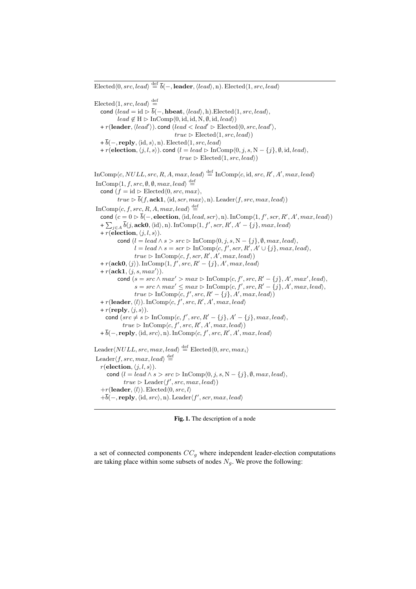$\text{Elected}\langle 0, src, lead \rangle \stackrel{\text{def}}{=} \overline{b}(-, \text{leader}, \langle lead \rangle, n)$ . Elected $\langle 1, src, lead \rangle$  $Elected\langle 1, src, lead \rangle \stackrel{\text{def}}{=}$ cond  $(lead = id \triangleright \overline{b}(-, \textbf{hbeat}, \langle lead \rangle, h). \text{Elected}\langle 1, src, lead \rangle,$  $lead \notin H \triangleright \text{InComp}\langle 0, \text{id}, \text{id}, N, \emptyset, \text{id}, \text{lead} \rangle$  $+$   $r(\mathbf{leader}, \langle lead'\rangle)$ . cond  $\left( lead < lead'\vartriangleright \mathrm{Elected}\langle 0, src, lead'\rangle\right)$  $true \triangleright \text{Elected}\langle 1, src, lead \rangle$ + *b*(*−,* **reply***, ⟨*id*, s⟩,* n)*.*Elected*⟨*1*, src, lead⟩* + *r*(**election***, ⟨j, l, s⟩*)*.* cond (*l* = *lead* ◃ InComp*⟨*0*, j, s,* N *− {j}, ∅,* id*, lead⟩,*  $true \triangleright \text{Elected}\langle 1, src, lead \rangle$  $\text{InComp}\langle c, NULL, src, R, A, max, lead \rangle \overset{\text{def}}{=} \text{InComp}\langle c, \text{id}, src, R', A', max, lead \rangle$  $\text{InComp}\langle 1, f, src, \emptyset, \emptyset, max, lead \rangle \stackrel{\text{def}}{=}$ cond  $(f = id \triangleright \text{Elected}\langle 0, src, max \rangle)$ ,  $true \triangleright \overline{b}(f, \textbf{ack1}, \langle id, scr, max \rangle, n)$ . Leader $\langle f, src, max, lead \rangle)$  $\text{InComp}\langle c, f, src, R, A, max, lead \rangle \stackrel{\text{def}}{=}$ cond  $(c = 0 \triangleright b(-, \text{electron}, \langle \text{id}, \text{lead}, \text{scr}\rangle, n)$ . In $\text{Comp}\langle 1, f', \text{scr}, R', A', \text{max}, \text{lead}\rangle)$ +  $\sum_{j\in A} \overline{b}(j, \textbf{ack0}, \langle \text{id} \rangle, \text{n}).$  In $\text{Comp}\langle 1, f', scr, R', A' - \{j\}, max, lead \rangle$ +  $r$ (**election**,  $\langle j, l, s \rangle$ ). cond  $(l = lead \land s > src \rightarrow InComp(0, j, s, N - \{j\}, \emptyset, max, lead),$  $l = lead \land s = scr \rhd \text{InComp}\langle c, f', scr, R', A' \cup \{j\}, max, lead \rangle$  $true \triangleright \text{InComp}\langle c, f, scr, R', A', max, lead \rangle)$ + *r*(**ack0***, ⟨j⟩*)*.*InComp*⟨*1*, f′ , src, R′ − {j}, A′ , max, lead⟩*  $+r(\mathbf{ack1}, \langle j, s, max' \rangle).$  $\text{cond}(s = src \land max' > max \rhd \text{InComp}\langle c, f', src, R' - \{j\}, A', max', lead\rangle,$  $s = src \land max' \leq max \rhd \text{InComp}\langle c, f', src, R' - \{j\}, A', max, lead\rangle,$  $true \triangleright \text{InComp}\langle c, f', src, R' - \{j\}, A', max, lead \rangle)$ + *r*(**leader***, ⟨l⟩*)*.*InComp*⟨c, f′ , src, R′ , A′ , max, lead⟩* +  $r$ (**reply**,  $\langle j, s \rangle$ ).  $\pmod{(src \neq s \rhd \text{InComp}\langle c, f', src, R' - \{j\}, A' - \{j\}, max, lead\rangle)}$  $true \triangleright \text{InComp}\langle c, f', src, R', A', max, lead \rangle)$ + *b*(*−,* **reply***, ⟨*id*, src⟩,* n)*.*InComp*⟨c, f′ , src, R′ , A′ , max, lead⟩*  $\text{Leader} \langle NULL, src, max, lead \rangle \stackrel{\text{def}}{=} \text{Elected} \langle 0, src, max_i \rangle$ Leader $\langle f, src, max, lead \rangle \stackrel{\text{def}}{=}$  $r$ (**election**,  $\langle j, l, s \rangle$ ). cond  $(l = lead \land s > src \rhd \text{InComp}(0, j, s, N - \{j\}, \emptyset, max, lead),$  $true \triangleright \text{Leader}\langle f', src, max, lead \rangle)$ +*r*(**leader***, ⟨l⟩*)*.*Elected*⟨*0*, src, l⟩* +*b*(*−,* **reply***, ⟨*id*, src⟩,* n)*.* Leader*⟨f ′ , scr, max, lead⟩*

#### Fig. 1. The description of a node

a set of connected components *CC<sup>g</sup>* where independent leader-election computations are taking place within some subsets of nodes  $N<sub>g</sub>$ . We prove the following: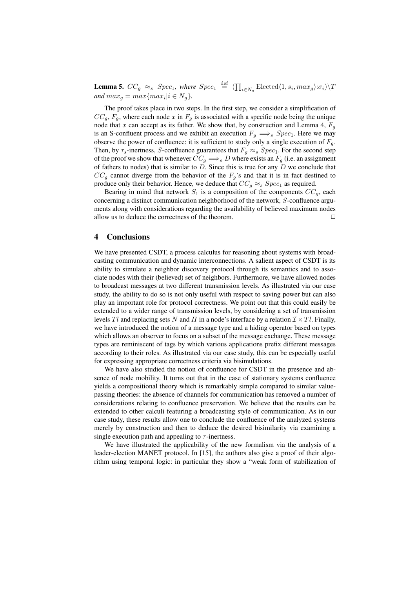**Lemma 5.**  $CC_g \approx_{s} Spec_1$ , where  $Spec_1 \stackrel{\text{def}}{=} (\prod_{i \in N_g} Elected\langle 1, s_i, max_g \rangle : \sigma_i) \setminus T$  $and max<sub>g</sub> = max{max<sub>i</sub>|i \in N<sub>g</sub>}.$ 

The proof takes place in two steps. In the first step, we consider a simplification of  $CC_q$ ,  $F_q$ , where each node *x* in  $F_q$  is associated with a specific node being the unique node that *x* can accept as its father. We show that, by construction and Lemma 4,  $F_q$ is an S-confluent process and we exhibit an execution  $F_g \implies Spec_1$ . Here we may observe the power of confluence: it is sufficient to study only a single execution of *Fg*. Then, by  $\tau_s$ -inertness, *S*-confluence guarantees that  $F_q \approx_s Spec_1$ . For the second step of the proof we show that whenever  $CC_g \Longrightarrow_s D$  where exists an  $F_g$  (i.e. an assignment of fathers to nodes) that is similar to *D*. Since this is true for any *D* we conclude that  $CC_g$  cannot diverge from the behavior of the  $F_g$ 's and that it is in fact destined to produce only their behavior. Hence, we deduce that  $CC_g \approx_s Spec_1$  as required.

Bearing in mind that network  $S_1$  is a composition of the components  $CC_g$ , each concerning a distinct communication neighborhood of the network, *S*-confluence arguments along with considerations regarding the availability of believed maximum nodes allow us to deduce the correctness of the theorem.  $\Box$ 

## 4 Conclusions

We have presented CSDT, a process calculus for reasoning about systems with broadcasting communication and dynamic interconnections. A salient aspect of CSDT is its ability to simulate a neighbor discovery protocol through its semantics and to associate nodes with their (believed) set of neighbors. Furthermore, we have allowed nodes to broadcast messages at two different transmission levels. As illustrated via our case study, the ability to do so is not only useful with respect to saving power but can also play an important role for protocol correctness. We point out that this could easily be extended to a wider range of transmission levels, by considering a set of transmission levels *Tl* and replacing sets *N* and *H* in a node's interface by a relation  $\mathcal{I} \times Tl$ . Finally, we have introduced the notion of a message type and a hiding operator based on types which allows an observer to focus on a subset of the message exchange. These message types are reminiscent of tags by which various applications prefix different messages according to their roles. As illustrated via our case study, this can be especially useful for expressing appropriate correctness criteria via bisimulations.

We have also studied the notion of confluence for CSDT in the presence and absence of node mobility. It turns out that in the case of stationary systems confluence yields a compositional theory which is remarkably simple compared to similar valuepassing theories: the absence of channels for communication has removed a number of considerations relating to confluence preservation. We believe that the results can be extended to other calculi featuring a broadcasting style of communication. As in our case study, these results allow one to conclude the confluence of the analyzed systems merely by construction and then to deduce the desired bisimilarity via examining a single execution path and appealing to *τ* -inertness.

We have illustrated the applicability of the new formalism via the analysis of a leader-election MANET protocol. In [15], the authors also give a proof of their algorithm using temporal logic: in particular they show a "weak form of stabilization of